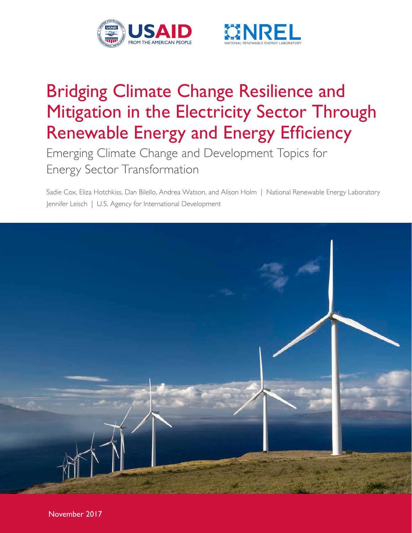



# Bridging Climate Change Resilience and Mitigation in the Electricity Sector Through Renewable Energy and Energy Efficiency

Emerging Climate Change and Development Topics for Energy Sector Transformation

Sadie Cox, Eliza Hotchkiss, Dan Bilello, Andrea Watson, and Alison Holm | National Renewable Energy Laboratory Jennifer Leisch | U.S. Agency for International Development

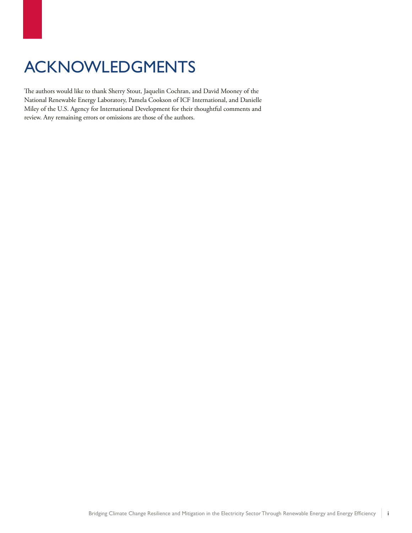## ACKNOWLEDGMENTS

The authors would like to thank Sherry Stout, Jaquelin Cochran, and David Mooney of the National Renewable Energy Laboratory, Pamela Cookson of ICF International, and Danielle Miley of the U.S. Agency for International Development for their thoughtful comments and review. Any remaining errors or omissions are those of the authors.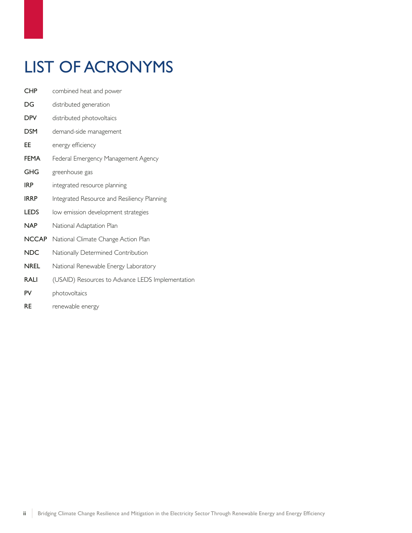## LIST OF ACRONYMS

- CHP combined heat and power
- DG distributed generation
- DPV distributed photovoltaics
- DSM demand-side management
- EE energy efficiency
- FEMA Federal Emergency Management Agency
- GHG greenhouse gas
- **IRP** integrated resource planning
- **IRRP** Integrated Resource and Resiliency Planning
- LEDS low emission development strategies
- NAP National Adaptation Plan
- NCCAP National Climate Change Action Plan
- NDC Nationally Determined Contribution
- NREL National Renewable Energy Laboratory
- RALI (USAID) Resources to Advance LEDS Implementation
- PV photovoltaics
- RE renewable energy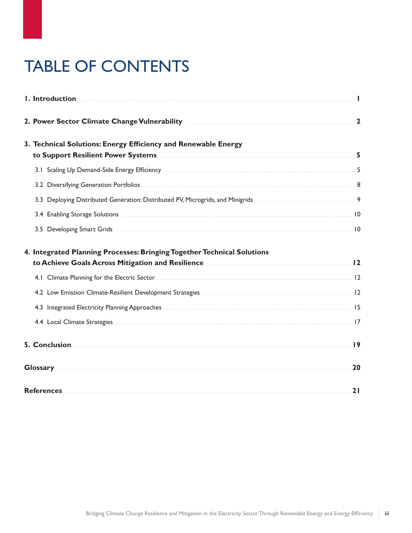# TABLE OF CONTENTS

| 2. Power Sector Climate Change Vulnerability Material Changes 2                                                                                                                                            |    |
|------------------------------------------------------------------------------------------------------------------------------------------------------------------------------------------------------------|----|
| 3. Technical Solutions: Energy Efficiency and Renewable Energy                                                                                                                                             |    |
|                                                                                                                                                                                                            |    |
|                                                                                                                                                                                                            |    |
|                                                                                                                                                                                                            |    |
|                                                                                                                                                                                                            |    |
|                                                                                                                                                                                                            |    |
| 4. Integrated Planning Processes: Bringing Together Technical Solutions<br>to Achieve Goals Across Mitigation and Resilience <b>[2016]</b> to Achieve Goals Across Mitigation and Resilience <b>[2016]</b> |    |
|                                                                                                                                                                                                            |    |
|                                                                                                                                                                                                            |    |
|                                                                                                                                                                                                            |    |
|                                                                                                                                                                                                            |    |
|                                                                                                                                                                                                            |    |
|                                                                                                                                                                                                            |    |
|                                                                                                                                                                                                            | 21 |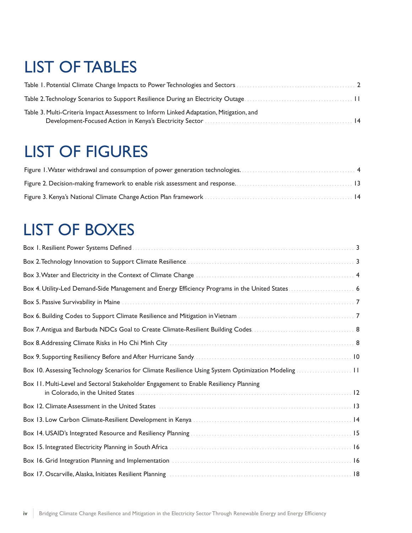## LIST OF TABLES

| Table 3. Multi-Criteria Impact Assessment to Inform Linked Adaptation, Mitigation, and |  |
|----------------------------------------------------------------------------------------|--|

## LIST OF FIGURES

## LIST OF BOXES

| Box 10. Assessing Technology Scenarios for Climate Resilience Using System Optimization Modeling11             |
|----------------------------------------------------------------------------------------------------------------|
| Box 11. Multi-Level and Sectoral Stakeholder Engagement to Enable Resiliency Planning                          |
| Box 12. Climate Assessment in the United States Materian Communication and the United States 13                |
|                                                                                                                |
|                                                                                                                |
|                                                                                                                |
| Box 16. Grid Integration Planning and Implementation Materian Materian Communication and 16                    |
| Box 17. Oscarville, Alaska, Initiates Resilient Planning (1998) (1998) (1999) (1998) (1998) (1998) (1998) (199 |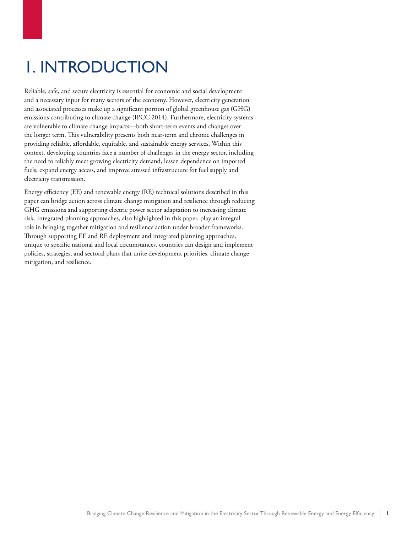# <span id="page-6-0"></span>1. INTRODUCTION

Reliable, safe, and secure electricity is essential for economic and social development and a necessary input for many sectors of the economy. However, electricity generation and associated processes make up a significant portion of global greenhouse gas (GHG) emissions contributing to climate change (IPCC 2014). Furthermore, electricity systems are vulnerable to climate change impacts—both short-term events and changes over the longer term. This vulnerability presents both near-term and chronic challenges in providing reliable, affordable, equitable, and sustainable energy services. Within this context, developing countries face a number of challenges in the energy sector, including the need to reliably meet growing electricity demand, lessen dependence on imported fuels, expand energy access, and improve stressed infrastructure for fuel supply and electricity transmission.

Energy efficiency (EE) and renewable energy (RE) technical solutions described in this paper can bridge action across climate change mitigation and resilience through reducing GHG emissions and supporting electric power sector adaptation to increasing climate risk. Integrated planning approaches, also highlighted in this paper, play an integral role in bringing together mitigation and resilience action under broader frameworks. Through supporting EE and RE deployment and integrated planning approaches, unique to specific national and local circumstances, countries can design and implement policies, strategies, and sectoral plans that unite development priorities, climate change mitigation, and resilience.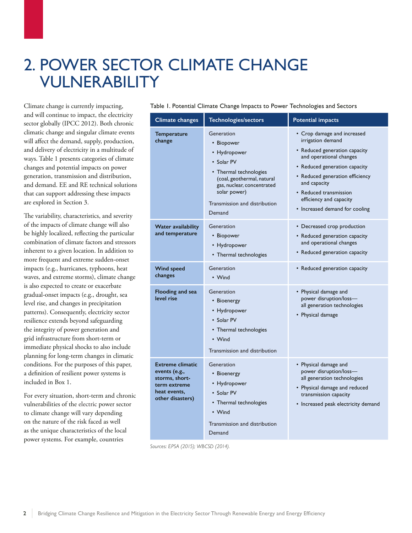## <span id="page-7-0"></span>2. POWER SECTOR CLIMATE CHANGE VULNERABILITY

Climate change is currently impacting, and will continue to impact, the electricity sector globally (IPCC 2012). Both chronic climatic change and singular climate events will affect the demand, supply, production, and delivery of electricity in a multitude of ways. Table 1 presents categories of climate changes and potential impacts on power generation, transmission and distribution, and demand. EE and RE technical solutions that can support addressing these impacts are explored in Section 3.

The variability, characteristics, and severity of the impacts of climate change will also be highly localized, reflecting the particular combination of climate factors and stressors inherent to a given location. In addition to more frequent and extreme sudden-onset impacts (e.g., hurricanes, typhoons, heat waves, and extreme storms), climate change is also expected to create or exacerbate gradual-onset impacts (e.g., drought, sea level rise, and changes in precipitation patterns). Consequently, electricity sector resilience extends beyond safeguarding the integrity of power generation and grid infrastructure from short-term or immediate physical shocks to also include planning for long-term changes in climatic conditions. For the purposes of this paper, a definition of resilient power systems is included in Box 1.

For every situation, short-term and chronic vulnerabilities of the electric power sector to climate change will vary depending on the nature of the risk faced as well as the unique characteristics of the local power systems. For example, countries

Table 1. Potential Climate Change Impacts to Power Technologies and Sectors

| Climate changes                                                                                                | Technologies/sectors                                                                                                                                                                                    | <b>Potential impacts</b>                                                                                                                                                                                                                                                                |  |  |
|----------------------------------------------------------------------------------------------------------------|---------------------------------------------------------------------------------------------------------------------------------------------------------------------------------------------------------|-----------------------------------------------------------------------------------------------------------------------------------------------------------------------------------------------------------------------------------------------------------------------------------------|--|--|
| <b>Temperature</b><br>change                                                                                   | Generation<br>• Biopower<br>• Hydropower<br>• Solar PV<br>• Thermal technologies<br>(coal, geothermal, natural<br>gas, nuclear, concentrated<br>solar power)<br>Transmission and distribution<br>Demand | • Crop damage and increased<br>irrigation demand<br>• Reduced generation capacity<br>and operational changes<br>• Reduced generation capacity<br>• Reduced generation efficiency<br>and capacity<br>• Reduced transmission<br>efficiency and capacity<br>• Increased demand for cooling |  |  |
| Water availability<br>and temperature                                                                          | Generation<br>• Biopower<br>• Hydropower<br>• Thermal technologies                                                                                                                                      | • Decreased crop production<br>• Reduced generation capacity<br>and operational changes<br>• Reduced generation capacity                                                                                                                                                                |  |  |
| <b>Wind speed</b><br>changes                                                                                   | Generation<br>• Wind                                                                                                                                                                                    | • Reduced generation capacity                                                                                                                                                                                                                                                           |  |  |
| Flooding and sea<br>level rise                                                                                 | Generation<br>• Bioenergy<br>• Hydropower<br>• Solar PV<br>• Thermal technologies<br>• Wind<br>Transmission and distribution                                                                            | • Physical damage and<br>power disruption/loss-<br>all generation technologies<br>• Physical damage                                                                                                                                                                                     |  |  |
| <b>Extreme climatic</b><br>events (e.g.,<br>storms, short-<br>term extreme<br>heat events,<br>other disasters) | Generation<br>• Bioenergy<br>• Hydropower<br>• Solar PV<br>• Thermal technologies<br>• Wind<br>Transmission and distribution<br>Demand                                                                  | • Physical damage and<br>power disruption/loss-<br>all generation technologies<br>• Physical damage and reduced<br>transmission capacity<br>• Increased peak electricity demand                                                                                                         |  |  |

*Sources: EPSA (2015); WBCSD (2014).*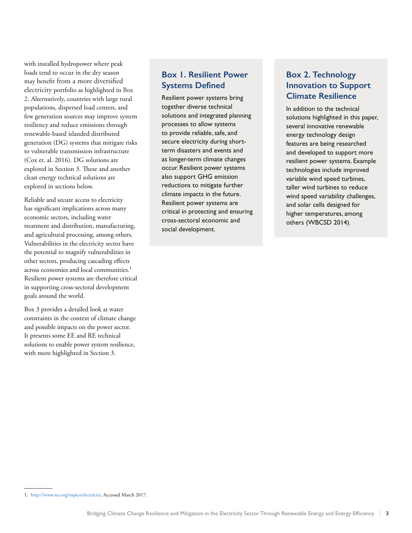<span id="page-8-0"></span>with installed hydropower where peak loads tend to occur in the dry season may benefit from a more diversified electricity portfolio as highlighted in Box 2. Alternatively, countries with large rural populations, dispersed load centers, and few generation sources may improve system resiliency and reduce emissions through renewable-based islanded distributed generation (DG) systems that mitigate risks to vulnerable transmission infrastructure (Cox et. al. 2016). DG solutions are explored in Section 3. These and another clean energy technical solutions are explored in sections below.

Reliable and secure access to electricity has significant implications across many economic sectors, including water treatment and distribution, manufacturing, and agricultural processing, among others. Vulnerabilities in the electricity sector have the potential to magnify vulnerabilities in other sectors, producing cascading effects across economies and local communities.<sup>1</sup> Resilient power systems are therefore critical in supporting cross-sectoral development goals around the world.

Box 3 provides a detailed look at water constraints in the context of climate change and possible impacts on the power sector. It presents some EE and RE technical solutions to enable power system resilience, with more highlighted in Section 3.

### **Box 1. Resilient Power Systems Defined**

Resilient power systems bring together diverse technical solutions and integrated planning processes to allow systems to provide reliable, safe, and secure electricity during shortterm disasters and events and as longer-term climate changes occur. Resilient power systems also support GHG emission reductions to mitigate further climate impacts in the future. Resilient power systems are critical in protecting and ensuring cross-sectoral economic and social development.

### **Box 2. Technology Innovation to Support Climate Resilience**

In addition to the technical solutions highlighted in this paper, several innovative renewable energy technology design features are being researched and developed to support more resilient power systems. Example technologies include improved variable wind speed turbines, taller wind turbines to reduce wind speed variability challenges, and solar cells designed for higher temperatures, among others (WBCSD 2014).

<sup>1.</sup> http://www.iea.org/topics/electricity. Accessed March 2017.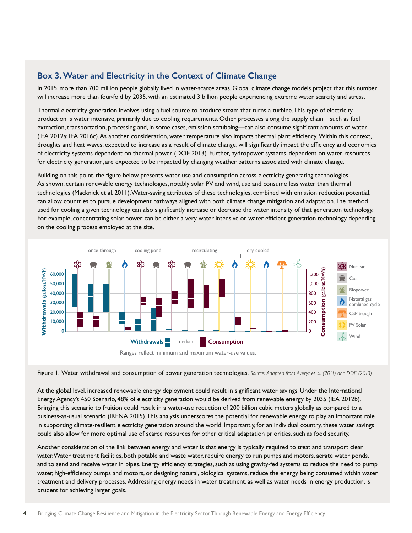#### <span id="page-9-0"></span>**Box 3. Water and Electricity in the Context of Climate Change**

In 2015, more than 700 million people globally lived in water-scarce areas. Global climate change models project that this number will increase more than four-fold by 2035, with an estimated 3 billion people experiencing extreme water scarcity and stress.

Thermal electricity generation involves using a fuel source to produce steam that turns a turbine. This type of electricity production is water intensive, primarily due to cooling requirements. Other processes along the supply chain—such as fuel extraction, transportation, processing and, in some cases, emission scrubbing—can also consume significant amounts of water (IEA 2012a; IEA 2016c). As another consideration, water temperature also impacts thermal plant efficiency. Within this context, droughts and heat waves, expected to increase as a result of climate change, will significantly impact the efficiency and economics of electricity systems dependent on thermal power (DOE 2013). Further, hydropower systems, dependent on water resources for electricity generation, are expected to be impacted by changing weather patterns associated with climate change.

Building on this point, the figure below presents water use and consumption across electricity generating technologies. As shown, certain renewable energy technologies, notably solar PV and wind, use and consume less water than thermal technologies (Macknick et al. 2011). Water-saving attributes of these technologies, combined with emission reduction potential, can allow countries to pursue development pathways aligned with both climate change mitigation and adaptation. The method used for cooling a given technology can also significantly increase or decrease the water intensity of that generation technology. For example, concentrating solar power can be either a very water-intensive or water-efficient generation technology depending on the cooling process employed at the site.



Figure 1. Water withdrawal and consumption of power generation technologies. *Source: Adapted from Averyt et al. (2011) and DOE (2013)*

At the global level, increased renewable energy deployment could result in significant water savings. Under the International Energy Agency's 450 Scenario, 48% of electricity generation would be derived from renewable energy by 2035 (IEA 2012b). Bringing this scenario to fruition could result in a water-use reduction of 200 billion cubic meters globally as compared to a business-as-usual scenario (IRENA 2015). This analysis underscores the potential for renewable energy to play an important role in supporting climate-resilient electricity generation around the world. Importantly, for an individual country, these water savings could also allow for more optimal use of scarce resources for other critical adaptation priorities, such as food security.

Another consideration of the link between energy and water is that energy is typically required to treat and transport clean water. Water treatment facilities, both potable and waste water, require energy to run pumps and motors, aerate water ponds, and to send and receive water in pipes. Energy efficiency strategies, such as using gravity-fed systems to reduce the need to pump water, high-efficiency pumps and motors, or designing natural, biological systems, reduce the energy being consumed within water treatment and delivery processes. Addressing energy needs in water treatment, as well as water needs in energy production, is prudent for achieving larger goals.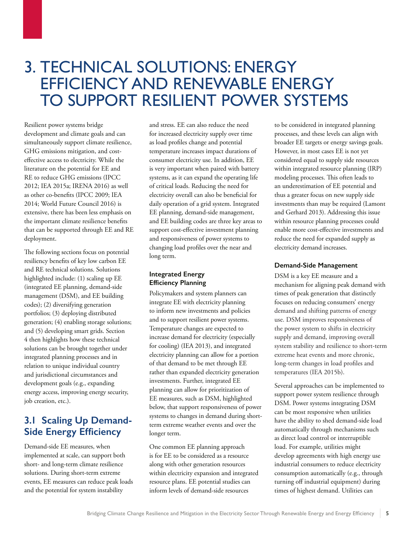## <span id="page-10-0"></span>3. TECHNICAL SOLUTIONS: ENERGY EFFICIENCY AND RENEWABLE ENERGY TO SUPPORT RESILIENT POWER SYSTEMS

Resilient power systems bridge development and climate goals and can simultaneously support climate resilience, GHG emissions mitigation, and costeffective access to electricity. While the literature on the potential for EE and RE to reduce GHG emissions (IPCC 2012; IEA 2015a; IRENA 2016) as well as other co-benefits (IPCC 2009; IEA 2014; World Future Council 2016) is extensive, there has been less emphasis on the important climate resilience benefits that can be supported through EE and RE deployment.

The following sections focus on potential resiliency benefits of key low carbon EE and RE technical solutions. Solutions highlighted include: (1) scaling up EE (integrated EE planning, demand-side management (DSM), and EE building codes); (2) diversifying generation portfolios; (3) deploying distributed generation; (4) enabling storage solutions; and (5) developing smart grids. Section 4 then highlights how these technical solutions can be brought together under integrated planning processes and in relation to unique individual country and jurisdictional circumstances and development goals (e.g., expanding energy access, improving energy security, job creation, etc.).

## **3.1 Scaling Up Demand-Side Energy Efficiency**

Demand-side EE measures, when implemented at scale, can support both short- and long-term climate resilience solutions. During short-term extreme events, EE measures can reduce peak loads and the potential for system instability

and stress. EE can also reduce the need for increased electricity supply over time as load profiles change and potential temperature increases impact durations of consumer electricity use. In addition, EE is very important when paired with battery systems, as it can expand the operating life of critical loads. Reducing the need for electricity overall can also be beneficial for daily operation of a grid system. Integrated EE planning, demand-side management, and EE building codes are three key areas to support cost-effective investment planning and responsiveness of power systems to changing load profiles over the near and long term.

#### **Integrated Energy Efficiency Planning**

Policymakers and system planners can integrate EE with electricity planning to inform new investments and policies and to support resilient power systems. Temperature changes are expected to increase demand for electricity (especially for cooling) (IEA 2013), and integrated electricity planning can allow for a portion of that demand to be met through EE rather than expanded electricity generation investments. Further, integrated EE planning can allow for prioritization of EE measures, such as DSM, highlighted below, that support responsiveness of power systems to changes in demand during shortterm extreme weather events and over the longer term.

One common EE planning approach is for EE to be considered as a resource along with other generation resources within electricity expansion and integrated resource plans. EE potential studies can inform levels of demand-side resources

to be considered in integrated planning processes, and these levels can align with broader EE targets or energy savings goals. However, in most cases EE is not yet considered equal to supply side resources within integrated resource planning (IRP) modeling processes. This often leads to an underestimation of EE potential and thus a greater focus on new supply side investments than may be required (Lamont and Gerhard 2013). Addressing this issue within resource planning processes could enable more cost-effective investments and reduce the need for expanded supply as electricity demand increases.

#### **Demand-Side Management**

DSM is a key EE measure and a mechanism for aligning peak demand with times of peak generation that distinctly focuses on reducing consumers' energy demand and shifting patterns of energy use. DSM improves responsiveness of the power system to shifts in electricity supply and demand, improving overall system stability and resilience to short-term extreme heat events and more chronic, long-term changes in load profiles and temperatures (IEA 2015b).

Several approaches can be implemented to support power system resilience through DSM. Power systems integrating DSM can be most responsive when utilities have the ability to shed demand-side load automatically through mechanisms such as direct load control or interruptible load. For example, utilities might develop agreements with high energy use industrial consumers to reduce electricity consumption automatically (e.g., through turning off industrial equipment) during times of highest demand. Utilities can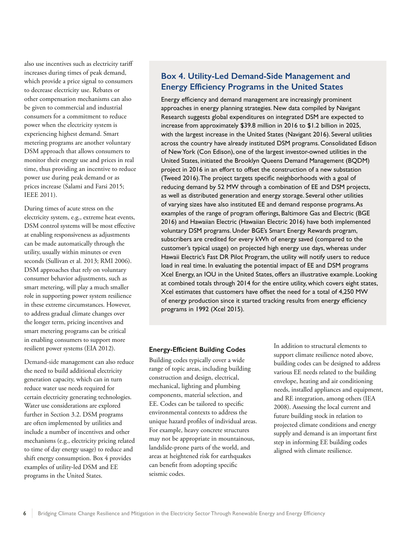<span id="page-11-0"></span>also use incentives such as electricity tariff increases during times of peak demand, which provide a price signal to consumers to decrease electricity use. Rebates or other compensation mechanisms can also be given to commercial and industrial consumers for a commitment to reduce power when the electricity system is experiencing highest demand. Smart metering programs are another voluntary DSM approach that allows consumers to monitor their energy use and prices in real time, thus providing an incentive to reduce power use during peak demand or as prices increase (Salami and Farsi 2015; IEEE 2011).

During times of acute stress on the electricity system, e.g., extreme heat events, DSM control systems will be most effective at enabling responsiveness as adjustments can be made automatically through the utility, usually within minutes or even seconds (Sullivan et al. 2013; RMI 2006). DSM approaches that rely on voluntary consumer behavior adjustments, such as smart metering, will play a much smaller role in supporting power system resilience in these extreme circumstances. However, to address gradual climate changes over the longer term, pricing incentives and smart metering programs can be critical in enabling consumers to support more resilient power systems (EIA 2012).

Demand-side management can also reduce the need to build additional electricity generation capacity, which can in turn reduce water use needs required for certain electricity generating technologies. Water use considerations are explored further in Section 3.2. DSM programs are often implemented by utilities and include a number of incentives and other mechanisms (e.g., electricity pricing related to time of day energy usage) to reduce and shift energy consumption. Box 4 provides examples of utility-led DSM and EE programs in the United States.

### **Box 4. Utility-Led Demand-Side Management and Energy Efficiency Programs in the United States**

Energy efficiency and demand management are increasingly prominent approaches in energy planning strategies. New data compiled by Navigant Research suggests global expenditures on integrated DSM are expected to increase from approximately \$39.8 million in 2016 to \$1.2 billion in 2025, with the largest increase in the United States (Navigant 2016). Several utilities across the country have already instituted DSM programs. Consolidated Edison of New York (Con Edison), one of the largest investor-owned utilities in the United States, initiated the Brooklyn Queens Demand Management (BQDM) project in 2016 in an effort to offset the construction of a new substation (Tweed 2016). The project targets specific neighborhoods with a goal of reducing demand by 52 MW through a combination of EE and DSM projects, as well as distributed generation and energy storage. Several other utilities of varying sizes have also instituted EE and demand response programs. As examples of the range of program offerings, Baltimore Gas and Electric (BGE 2016) and Hawaiian Electric (Hawaiian Electric 2016) have both implemented voluntary DSM programs. Under BGE's Smart Energy Rewards program, subscribers are credited for every kWh of energy saved (compared to the customer's typical usage) on projected high energy use days, whereas under Hawaii Electric's Fast DR Pilot Program, the utility will notify users to reduce load in real time. In evaluating the potential impact of EE and DSM programs Xcel Energy, an IOU in the United States, offers an illustrative example. Looking at combined totals through 2014 for the entire utility, which covers eight states, Xcel estimates that customers have offset the need for a total of 4,250 MW of energy production since it started tracking results from energy efficiency programs in 1992 (Xcel 2015).

#### **Energy-Efficient Building Codes**

Building codes typically cover a wide range of topic areas, including building construction and design, electrical, mechanical, lighting and plumbing components, material selection, and EE. Codes can be tailored to specific environmental contexts to address the unique hazard profiles of individual areas. For example, heavy concrete structures may not be appropriate in mountainous, landslide-prone parts of the world, and areas at heightened risk for earthquakes can benefit from adopting specific seismic codes.

In addition to structural elements to support climate resilience noted above, building codes can be designed to address various EE needs related to the building envelope, heating and air conditioning needs, installed appliances and equipment, and RE integration, among others (IEA 2008). Assessing the local current and future building stock in relation to projected climate conditions and energy supply and demand is an important first step in informing EE building codes aligned with climate resilience.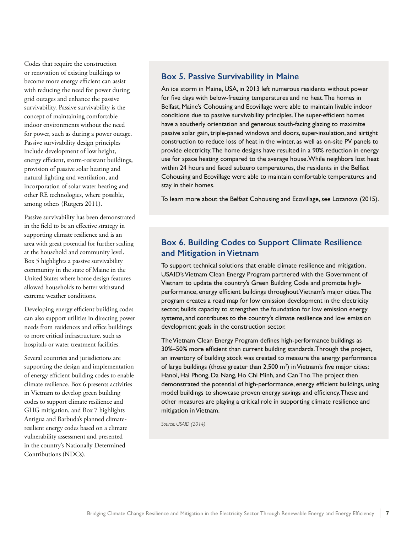<span id="page-12-0"></span>Codes that require the construction or renovation of existing buildings to become more energy efficient can assist with reducing the need for power during grid outages and enhance the passive survivability. Passive survivability is the concept of maintaining comfortable indoor environments without the need for power, such as during a power outage. Passive survivability design principles include development of low height, energy efficient, storm-resistant buildings, provision of passive solar heating and natural lighting and ventilation, and incorporation of solar water heating and other RE technologies, where possible, among others (Rutgers 2011).

Passive survivability has been demonstrated in the field to be an effective strategy in supporting climate resilience and is an area with great potential for further scaling at the household and community level. Box 5 highlights a passive survivability community in the state of Maine in the United States where home design features allowed households to better withstand extreme weather conditions.

Developing energy efficient building codes can also support utilities in directing power needs from residences and office buildings to more critical infrastructure, such as hospitals or water treatment facilities.

Several countries and jurisdictions are supporting the design and implementation of energy efficient building codes to enable climate resilience. Box 6 presents activities in Vietnam to develop green building codes to support climate resilience and GHG mitigation, and Box 7 highlights Antigua and Barbuda's planned climateresilient energy codes based on a climate vulnerability assessment and presented in the country's Nationally Determined Contributions (NDCs).

#### **Box 5. Passive Survivability in Maine**

An ice storm in Maine, USA, in 2013 left numerous residents without power for five days with below-freezing temperatures and no heat. The homes in Belfast, Maine's Cohousing and Ecovillage were able to maintain livable indoor conditions due to passive survivability principles. The super-efficient homes have a southerly orientation and generous south-facing glazing to maximize passive solar gain, triple-paned windows and doors, super-insulation, and airtight construction to reduce loss of heat in the winter, as well as on-site PV panels to provide electricity. The home designs have resulted in a 90% reduction in energy use for space heating compared to the average house. While neighbors lost heat within 24 hours and faced subzero temperatures, the residents in the Belfast Cohousing and Ecovillage were able to maintain comfortable temperatures and stay in their homes.

To learn more about the Belfast Cohousing and Ecovillage, see Lozanova (2015).

### **Box 6. Building Codes to Support Climate Resilience and Mitigation in Vietnam**

To support technical solutions that enable climate resilience and mitigation, USAID's Vietnam Clean Energy Program partnered with the Government of Vietnam to update the country's Green Building Code and promote highperformance, energy efficient buildings throughout Vietnam's major cities. The program creates a road map for low emission development in the electricity sector, builds capacity to strengthen the foundation for low emission energy systems, and contributes to the country's climate resilience and low emission development goals in the construction sector.

The Vietnam Clean Energy Program defines high-performance buildings as 30%–50% more efficient than current building standards. Through the project, an inventory of building stock was created to measure the energy performance of large buildings (those greater than  $2,500$  m<sup>2</sup>) in Vietnam's five major cities: Hanoi, Hai Phong, Da Nang, Ho Chi Minh, and Can Tho. The project then demonstrated the potential of high-performance, energy efficient buildings, using model buildings to showcase proven energy savings and efficiency. These and other measures are playing a critical role in supporting climate resilience and mitigation in Vietnam.

*Source: USAID (2014)*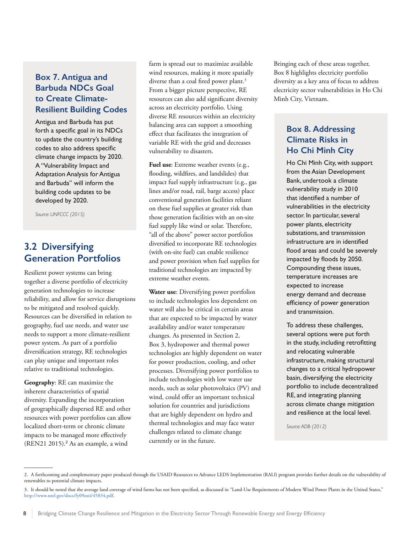### <span id="page-13-0"></span>**Box 7. Antigua and Barbuda NDCs Goal to Create Climate-Resilient Building Codes**

Antigua and Barbuda has put forth a specific goal in its NDCs to update the country's building codes to also address specific climate change impacts by 2020. A "Vulnerability Impact and Adaptation Analysis for Antigua and Barbuda" will inform the building code updates to be developed by 2020.

*Source: UNFCCC (2015)*

## **3.2 Diversifying Generation Portfolios**

Resilient power systems can bring together a diverse portfolio of electricity generation technologies to increase reliability, and allow for service disruptions to be mitigated and resolved quickly. Resources can be diversified in relation to geography, fuel use needs, and water use needs to support a more climate-resilient power system. As part of a portfolio diversification strategy, RE technologies can play unique and important roles relative to traditional technologies.

**Geography**: RE can maximize the inherent characteristics of spatial diversity. Expanding the incorporation of geographically dispersed RE and other resources with power portfolios can allow localized short-term or chronic climate impacts to be managed more effectively (REN21 2015).<sup>2</sup> As an example, a wind

farm is spread out to maximize available wind resources, making it more spatially diverse than a coal fired power plant.<sup>3</sup> From a bigger picture perspective, RE resources can also add significant diversity across an electricity portfolio. Using diverse RE resources within an electricity balancing area can support a smoothing effect that facilitates the integration of variable RE with the grid and decreases vulnerability to disasters.

**Fuel use**: Extreme weather events (e.g., flooding, wildfires, and landslides) that impact fuel supply infrastructure (e.g., gas lines and/or road, rail, barge access) place conventional generation facilities reliant on these fuel supplies at greater risk than those generation facilities with an on-site fuel supply like wind or solar. Therefore, "all of the above" power sector portfolios diversified to incorporate RE technologies (with on-site fuel) can enable resilience and power provision when fuel supplies for traditional technologies are impacted by extreme weather events.

**Water use**: Diversifying power portfolios to include technologies less dependent on water will also be critical in certain areas that are expected to be impacted by water availability and/or water temperature changes. As presented in Section 2, Box 3, hydropower and thermal power technologies are highly dependent on water for power production, cooling, and other processes. Diversifying power portfolios to include technologies with low water use needs, such as solar photovoltaics (PV) and wind, could offer an important technical solution for countries and jurisdictions that are highly dependent on hydro and thermal technologies and may face water challenges related to climate change currently or in the future.

Bringing each of these areas together, Box 8 highlights electricity portfolio diversity as a key area of focus to address electricity sector vulnerabilities in Ho Chi Minh City, Vietnam.

### **Box 8. Addressing Climate Risks in Ho Chi Minh City**

Ho Chi Minh City, with support from the Asian Development Bank, undertook a climate vulnerability study in 2010 that identified a number of vulnerabilities in the electricity sector. In particular, several power plants, electricity substations, and transmission infrastructure are in identified flood areas and could be severely impacted by floods by 2050. Compounding these issues, temperature increases are expected to increase energy demand and decrease efficiency of power generation and transmission.

To address these challenges, several options were put forth in the study, including retrofitting and relocating vulnerable infrastructure, making structural changes to a critical hydropower basin, diversifying the electricity portfolio to include decentralized RE, and integrating planning across climate change mitigation and resilience at the local level.

*Source: ADB (2012)* 

<sup>2.</sup> A forthcoming and complementary paper produced through the USAID Resources to Advance LEDS Implementation (RALI) program provides further details on the vulnerability of renewables to potential climate impacts.

<sup>3.</sup> It should be noted that the average land coverage of wind farms has not been specified, as discussed in "Land-Use Requirements of Modern Wind Power Plants in the United States," http://www.nrel.gov/docs/fy09osti/45834.pdf.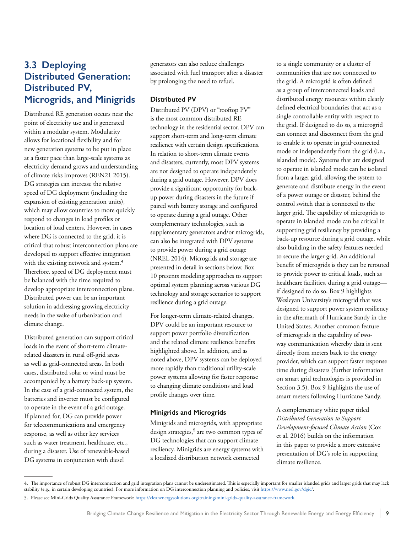## <span id="page-14-0"></span>**3.3 Deploying Distributed Generation: Distributed PV, Microgrids, and Minigrids**

Distributed RE generation occurs near the point of electricity use and is generated within a modular system. Modularity allows for locational flexibility and for new generation systems to be put in place at a faster pace than large-scale systems as electricity demand grows and understanding of climate risks improves (REN21 2015). DG strategies can increase the relative speed of DG deployment (including the expansion of existing generation units), which may allow countries to more quickly respond to changes in load profiles or location of load centers. However, in cases where DG is connected to the grid, it is critical that robust interconnection plans are developed to support effective integration with the existing network and system.<sup>4</sup> Therefore, speed of DG deployment must be balanced with the time required to develop appropriate interconnection plans. Distributed power can be an important solution in addressing growing electricity needs in the wake of urbanization and climate change.

Distributed generation can support critical loads in the event of short-term climaterelated disasters in rural off-grid areas as well as grid-connected areas. In both cases, distributed solar or wind must be accompanied by a battery back-up system. In the case of a grid-connected system, the batteries and inverter must be configured to operate in the event of a grid outage. If planned for, DG can provide power for telecommunications and emergency response, as well as other key services such as water treatment, healthcare, etc., during a disaster. Use of renewable-based DG systems in conjunction with diesel

generators can also reduce challenges associated with fuel transport after a disaster by prolonging the need to refuel.

#### **Distributed PV**

Distributed PV (DPV) or "rooftop PV" is the most common distributed RE technology in the residential sector. DPV can support short-term and long-term climate resilience with certain design specifications. In relation to short-term climate events and disasters, currently, most DPV systems are not designed to operate independently during a grid outage. However, DPV does provide a significant opportunity for backup power during disasters in the future if paired with battery storage and configured to operate during a grid outage. Other complementary technologies, such as supplementary generators and/or microgrids, can also be integrated with DPV systems to provide power during a grid outage (NREL 2014). Microgrids and storage are presented in detail in sections below. Box 10 presents modeling approaches to support optimal system planning across various DG technology and storage scenarios to support resilience during a grid outage.

For longer-term climate-related changes, DPV could be an important resource to support power portfolio diversification and the related climate resilience benefits highlighted above. In addition, and as noted above, DPV systems can be deployed more rapidly than traditional utility-scale power systems allowing for faster response to changing climate conditions and load profile changes over time.

#### **Minigrids and Microgrids**

Minigrids and microgrids, with appropriate design strategies,<sup>5</sup> are two common types of DG technologies that can support climate resiliency. Minigrids are energy systems with a localized distribution network connected

to a single community or a cluster of communities that are not connected to the grid. A microgrid is often defined as a group of interconnected loads and distributed energy resources within clearly defined electrical boundaries that act as a single controllable entity with respect to the grid. If designed to do so, a microgrid can connect and disconnect from the grid to enable it to operate in grid‐connected mode or independently from the grid (i.e., islanded mode). Systems that are designed to operate in islanded mode can be isolated from a larger grid, allowing the system to generate and distribute energy in the event of a power outage or disaster, behind the control switch that is connected to the larger grid. The capability of microgrids to operate in islanded mode can be critical in supporting grid resiliency by providing a back-up resource during a grid outage, while also building in the safety features needed to secure the larger grid. An additional benefit of microgrids is they can be rerouted to provide power to critical loads, such as healthcare facilities, during a grid outage if designed to do so. Box 9 highlights Wesleyan University's microgrid that was designed to support power system resiliency in the aftermath of Hurricane Sandy in the United States. Another common feature of microgrids is the capability of twoway communication whereby data is sent directly from meters back to the energy provider, which can support faster response time during disasters (further information on smart grid technologies is provided in Section 3.5). Box 9 highlights the use of smart meters following Hurricane Sandy.

A complementary white paper titled *Distributed Generation to Support Development-focused Climate Action* (Cox et al. 2016) builds on the information in this paper to provide a more extensive presentation of DG's role in supporting climate resilience.

<sup>4.</sup> The importance of robust DG interconnection and grid integration plans cannot be underestimated. This is especially important for smaller islanded grids and larger grids that may lack stability (e.g., in certain developing countries). For more information on DG interconnection planning and policies, visit https://www.nrel.gov/dgic/.

<sup>5.</sup> Please see Mini-Grids Quality Assurance Framework: https://cleanenergysolutions.org/training/mini-grids-quality-assurance-framework.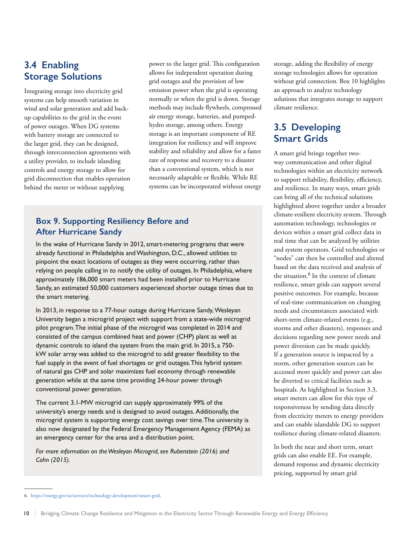### <span id="page-15-0"></span>**3.4 Enabling Storage Solutions**

Integrating storage into electricity grid systems can help smooth variation in wind and solar generation and add backup capabilities to the grid in the event of power outages. When DG systems with battery storage are connected to the larger grid, they can be designed, through interconnection agreements with a utility provider, to include islanding controls and energy storage to allow for grid disconnection that enables operation behind the meter or without supplying

power to the larger grid. This configuration allows for independent operation during grid outages and the provision of low emission power when the grid is operating normally or when the grid is down. Storage methods may include flywheels, compressed air energy storage, batteries, and pumpedhydro storage, among others. Energy storage is an important component of RE integration for resiliency and will improve stability and reliability and allow for a faster rate of response and recovery to a disaster than a conventional system, which is not necessarily adaptable or flexible. While RE systems can be incorporated without energy

### **Box 9. Supporting Resiliency Before and After Hurricane Sandy**

In the wake of Hurricane Sandy in 2012, smart-metering programs that were already functional in Philadelphia and Washington, D.C., allowed utilities to pinpoint the exact locations of outages as they were occurring, rather than relying on people calling in to notify the utility of outages. In Philadelphia, where approximately 186,000 smart meters had been installed prior to Hurricane Sandy, an estimated 50,000 customers experienced shorter outage times due to the smart metering.

In 2013, in response to a 77-hour outage during Hurricane Sandy, Wesleyan University began a microgrid project with support from a state-wide microgrid pilot program. The initial phase of the microgrid was completed in 2014 and consisted of the campus combined heat and power (CHP) plant as well as dynamic controls to island the system from the main grid. In 2015, a 750 kW solar array was added to the microgrid to add greater flexibility to the fuel supply in the event of fuel shortages or grid outages. This hybrid system of natural gas CHP and solar maximizes fuel economy through renewable generation while at the same time providing 24-hour power through conventional power generation.

The current 3.1-MW microgrid can supply approximately 99% of the university's energy needs and is designed to avoid outages. Additionally, the microgrid system is supporting energy cost savings over time. The university is also now designated by the Federal Emergency Management Agency (FEMA) as an emergency center for the area and a distribution point.

*For more information on the Wesleyan Microgrid, see Rubenstein (2016) and Cohn (2015).*

storage, adding the flexibility of energy storage technologies allows for operation without grid connection. Box 10 highlights an approach to analyze technology solutions that integrates storage to support climate resilience.

## **3.5 Developing Smart Grids**

A smart grid brings together twoway communication and other digital technologies within an electricity network to support reliability, flexibility, efficiency, and resilience. In many ways, smart grids can bring all of the technical solutions highlighted above together under a broader climate-resilient electricity system. Through automation technology, technologies or devices within a smart grid collect data in real time that can be analyzed by utilities and system operators. Grid technologies or "nodes" can then be controlled and altered based on the data received and analysis of the situation.<sup>6</sup> In the context of climate resilience, smart grids can support several positive outcomes. For example, because of real-time communication on changing needs and circumstances associated with short-term climate-related events (e.g., storms and other disasters), responses and decisions regarding new power needs and power diversion can be made quickly. If a generation source is impacted by a storm, other generation sources can be accessed more quickly and power can also be diverted to critical facilities such as hospitals. As highlighted in Section 3.3, smart meters can allow for this type of responsiveness by sending data directly from electricity meters to energy providers and can enable islandable DG to support resilience during climate-related disasters.

In both the near and short term, smart grids can also enable EE. For example, demand response and dynamic electricity pricing, supported by smart grid

<sup>6.</sup> https://energy.gov/oe/services/technology-development/smart-grid.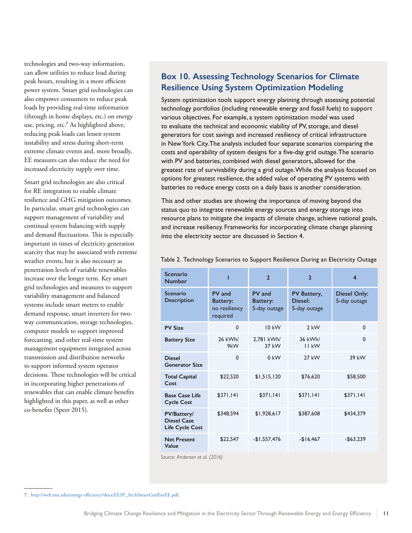<span id="page-16-0"></span>technologies and two-way information, can allow utilities to reduce load during peak hours, resulting in a more efficient power system. Smart grid technologies can also empower consumers to reduce peak loads by providing real-time information (through in home displays, etc.) on energy use, pricing, etc.<sup>7</sup> As highlighted above, reducing peak loads can lessen system instability and stress during short-term extreme climate events and, more broadly, EE measures can also reduce the need for increased electricity supply over time.

Smart grid technologies are also critical for RE integration to enable climate resilience and GHG mitigation outcomes. In particular, smart grid technologies can support management of variability and continual system balancing with supply and demand fluctuations. This is especially important in times of electricity generation scarcity that may be associated with extreme weather events, but is also necessary as penetration levels of variable renewables increase over the longer term. Key smart grid technologies and measures to support variability management and balanced systems include smart meters to enable demand response, smart inverters for twoway communication, storage technologies, computer models to support improved forecasting, and other real-time system management equipment integrated across transmission and distribution networks to support informed system operator decisions. These technologies will be critical in incorporating higher penetrations of renewables that can enable climate benefits highlighted in this paper, as well as other co-benefits (Speer 2015).

### **Box 10. Assessing Technology Scenarios for Climate Resilience Using System Optimization Modeling**

System optimization tools support energy planning through assessing potential technology portfolios (including renewable energy and fossil fuels) to support various objectives. For example, a system optimization model was used to evaluate the technical and economic viability of PV, storage, and diesel generators for cost savings and increased resiliency of critical infrastructure in New York City. The analysis included four separate scenarios comparing the costs and operability of system designs for a five-day grid outage. The scenario with PV and batteries, combined with diesel generators, allowed for the greatest rate of survivability during a grid outage. While the analysis focused on options for greatest resilience, the added value of operating PV systems with batteries to reduce energy costs on a daily basis is another consideration.

This and other studies are showing the importance of moving beyond the status quo to integrate renewable energy sources and energy storage into resource plans to mitigate the impacts of climate change, achieve national goals, and increase resiliency. Frameworks for incorporating climate change planning into the electricity sector are discussed in Section 4.

| <b>Scenario</b><br><b>Number</b>                            |                                                        | $\overline{\mathbf{z}}$                                                             | $\overline{\mathbf{3}}$    |                                     |  |
|-------------------------------------------------------------|--------------------------------------------------------|-------------------------------------------------------------------------------------|----------------------------|-------------------------------------|--|
| <b>Scenario</b><br><b>Description</b>                       | PV and<br><b>Battery:</b><br>no resiliency<br>required | PV and<br>PV Battery,<br>Diesel:<br><b>Battery:</b><br>5-day outage<br>5-day outage |                            | <b>Diesel Only:</b><br>5-day outage |  |
| <b>PV Size</b>                                              | 0                                                      | $10 \text{ kW}$                                                                     | $2$ kW                     | $\Omega$                            |  |
| <b>Battery Size</b>                                         | 26 kWh/<br>9kW                                         | 2,781 kWh/<br>37 kW                                                                 | 36 kWh/<br><b>II kW</b>    | $\Omega$                            |  |
| <b>Diesel</b><br><b>Generator Size</b>                      | 0                                                      | $0$ kW                                                                              | <b>27 kW</b>               | 39 kW                               |  |
| <b>Total Capital</b><br>Cost                                | \$22,520                                               | \$1,515,120                                                                         | \$76,620                   | \$58,500                            |  |
| <b>Base Case Life</b><br><b>Cycle Cost</b>                  | \$371,141                                              | \$371,141                                                                           | \$371,141                  | \$371,141                           |  |
| PV/Battery/<br><b>Diesel Case</b><br><b>Life Cycle Cost</b> | \$348,594                                              | \$1,928,617                                                                         | \$387,608                  | \$434,379                           |  |
| <b>Net Present</b><br>Value                                 | \$22,547                                               | $-$1,557,476$                                                                       | $-$ \$63,239<br>$-$16.467$ |                                     |  |

Table 2. Technology Scenarios to Support Resilience During an Electricity Outage

*Source: Anderson et al. (2016)*

7. http://web.mit.edu/energy-efficiency/docs/EESP\_ArchSmartGridForEE.pdf.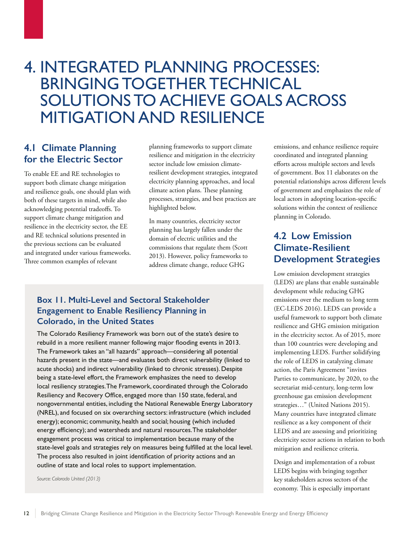## <span id="page-17-0"></span>4. INTEGRATED PLANNING PROCESSES: BRINGING TOGETHER TECHNICAL SOLUTIONS TO ACHIEVE GOALS ACROSS MITIGATION AND RESILIENCE

### **4.1 Climate Planning for the Electric Sector**

To enable EE and RE technologies to support both climate change mitigation and resilience goals, one should plan with both of these targets in mind, while also acknowledging potential tradeoffs. To support climate change mitigation and resilience in the electricity sector, the EE and RE technical solutions presented in the previous sections can be evaluated and integrated under various frameworks. Three common examples of relevant

planning frameworks to support climate resilience and mitigation in the electricity sector include low emission climateresilient development strategies, integrated electricity planning approaches, and local climate action plans. These planning processes, strategies, and best practices are highlighted below.

In many countries, electricity sector planning has largely fallen under the domain of electric utilities and the commissions that regulate them (Scott 2013). However, policy frameworks to address climate change, reduce GHG

### **Box 11. Multi-Level and Sectoral Stakeholder Engagement to Enable Resiliency Planning in Colorado, in the United States**

The Colorado Resiliency Framework was born out of the state's desire to rebuild in a more resilient manner following major flooding events in 2013. The Framework takes an "all hazards" approach—considering all potential hazards present in the state—and evaluates both direct vulnerability (linked to acute shocks) and indirect vulnerability (linked to chronic stresses). Despite being a state-level effort, the Framework emphasizes the need to develop local resiliency strategies. The Framework, coordinated through the Colorado Resiliency and Recovery Office, engaged more than 150 state, federal, and nongovernmental entities, including the National Renewable Energy Laboratory (NREL), and focused on six overarching sectors: infrastructure (which included energy); economic; community, health and social; housing (which included energy efficiency); and watersheds and natural resources. The stakeholder engagement process was critical to implementation because many of the state-level goals and strategies rely on measures being fulfilled at the local level. The process also resulted in joint identification of priority actions and an outline of state and local roles to support implementation.

*Source: Colorado United (2013)*

emissions, and enhance resilience require coordinated and integrated planning efforts across multiple sectors and levels of government. Box 11 elaborates on the potential relationships across different levels of government and emphasizes the role of local actors in adopting location-specific solutions within the context of resilience planning in Colorado.

## **4.2 Low Emission Climate-Resilient Development Strategies**

Low emission development strategies (LEDS) are plans that enable sustainable development while reducing GHG emissions over the medium to long term (EC-LEDS 2016). LEDS can provide a useful framework to support both climate resilience and GHG emission mitigation in the electricity sector. As of 2015, more than 100 countries were developing and implementing LEDS. Further solidifying the role of LEDS in catalyzing climate action, the Paris Agreement "invites Parties to communicate, by 2020, to the secretariat mid-century, long-term low greenhouse gas emission development strategies…" (United Nations 2015). Many countries have integrated climate resilience as a key component of their LEDS and are assessing and prioritizing electricity sector actions in relation to both mitigation and resilience criteria.

Design and implementation of a robust LEDS begins with bringing together key stakeholders across sectors of the economy. This is especially important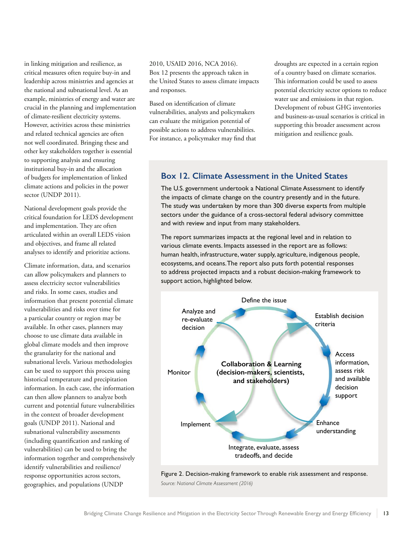<span id="page-18-0"></span>in linking mitigation and resilience, as critical measures often require buy-in and leadership across ministries and agencies at the national and subnational level. As an example, ministries of energy and water are crucial in the planning and implementation of climate-resilient electricity systems. However, activities across these ministries and related technical agencies are often not well coordinated. Bringing these and other key stakeholders together is essential to supporting analysis and ensuring institutional buy-in and the allocation of budgets for implementation of linked climate actions and policies in the power sector (UNDP 2011).

National development goals provide the critical foundation for LEDS development and implementation. They are often articulated within an overall LEDS vision and objectives, and frame all related analyses to identify and prioritize actions.

Climate information, data, and scenarios can allow policymakers and planners to assess electricity sector vulnerabilities and risks. In some cases, studies and information that present potential climate vulnerabilities and risks over time for a particular country or region may be available. In other cases, planners may choose to use climate data available in global climate models and then improve the granularity for the national and subnational levels. Various methodologies can be used to support this process using historical temperature and precipitation information. In each case, the information can then allow planners to analyze both current and potential future vulnerabilities in the context of broader development goals (UNDP 2011). National and subnational vulnerability assessments (including quantification and ranking of vulnerabilities) can be used to bring the information together and comprehensively identify vulnerabilities and resilience/ response opportunities across sectors, geographies, and populations (UNDP

2010, USAID 2016, NCA 2016). Box 12 presents the approach taken in the United States to assess climate impacts and responses.

Based on identification of climate vulnerabilities, analysts and policymakers can evaluate the mitigation potential of possible actions to address vulnerabilities. For instance, a policymaker may find that droughts are expected in a certain region of a country based on climate scenarios. This information could be used to assess potential electricity sector options to reduce water use and emissions in that region. Development of robust GHG inventories and business-as-usual scenarios is critical in supporting this broader assessment across mitigation and resilience goals.

#### **Box 12. Climate Assessment in the United States**

The U.S. government undertook a National Climate Assessment to identify the impacts of climate change on the country presently and in the future. The study was undertaken by more than 300 diverse experts from multiple sectors under the guidance of a cross-sectoral federal advisory committee and with review and input from many stakeholders.

The report summarizes impacts at the regional level and in relation to various climate events. Impacts assessed in the report are as follows: human health, infrastructure, water supply, agriculture, indigenous people, ecosystems, and oceans. The report also puts forth potential responses to address projected impacts and a robust decision-making framework to support action, highlighted below.



Figure 2. Decision-making framework to enable risk assessment and response. *Source: National Climate Assessment (2016)*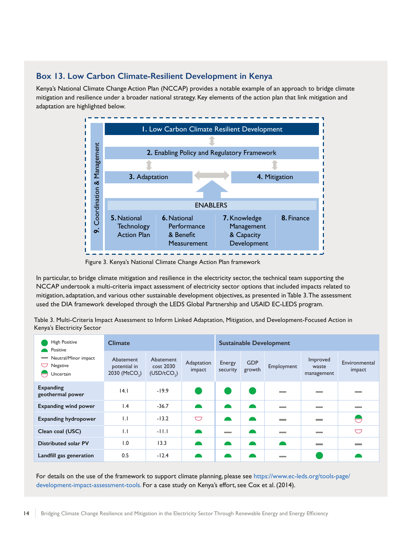#### <span id="page-19-0"></span>**Box 13. Low Carbon Climate-Resilient Development in Kenya**

Kenya's National Climate Change Action Plan (NCCAP) provides a notable example of an approach to bridge climate mitigation and resilience under a broader national strategy. Key elements of the action plan that link mitigation and adaptation are highlighted below.



Figure 3. Kenya's National Climate Change Action Plan framework

In particular, to bridge climate mitigation and resilience in the electricity sector, the technical team supporting the NCCAP undertook a multi-criteria impact assessment of electricity sector options that included impacts related to mitigation, adaptation, and various other sustainable development objectives, as presented in Table 3. The assessment used the DIA framework developed through the LEDS Global Partnership and USAID EC-LEDS program.

| Table 3. Multi-Criteria Impact Assessment to Inform Linked Adaptation, Mitigation, and Development-Focused Action in |  |  |  |  |
|----------------------------------------------------------------------------------------------------------------------|--|--|--|--|
| Kenya's Electricity Sector                                                                                           |  |  |  |  |

| <b>High Positive</b><br>Positive<br>Neutral/Minor impact<br>Negative<br>U<br>Uncertain | <b>Climate</b>                                         |                                                   |                      | <b>Sustainable Development</b> |                      |                          |                                 |                         |
|----------------------------------------------------------------------------------------|--------------------------------------------------------|---------------------------------------------------|----------------------|--------------------------------|----------------------|--------------------------|---------------------------------|-------------------------|
|                                                                                        | Abatement<br>potential in<br>2030 (MtCO <sub>2</sub> ) | Abatement<br>cost 2030<br>(USD/tCO <sub>2</sub> ) | Adaptation<br>impact | Energy<br>security             | <b>GDP</b><br>growth | Employment               | Improved<br>waste<br>management | Environmental<br>impact |
| Expanding<br>geothermal power                                                          | 4.1                                                    | $-19.9$                                           |                      |                                |                      | <b>Contract</b>          | <b>The Company</b>              |                         |
| <b>Expanding wind power</b>                                                            | $\mathsf{I}$ .4                                        | $-36.7$                                           |                      |                                |                      | <b>Contract</b>          | <b>STATISTICS</b>               | <b>STATISTICS</b>       |
| <b>Expanding hydropower</b>                                                            | $\mathsf{L}$                                           | $-13.2$                                           | ▽                    |                                |                      | <b>Contract Contract</b> | <b>The Contract</b>             | $\ominus$               |
| Clean coal (USC)                                                                       | $\mathbf{L}$                                           | $-11.1$                                           |                      | <b>Contract</b>                |                      | <b>Contract Contract</b> | <b>Contract</b>                 | $\bigcirc$              |
| <b>Distributed solar PV</b>                                                            | 1.0                                                    | 13.3                                              |                      |                                |                      | $\bullet$                | <b>Contract Contract</b>        | <b>Contract</b>         |
| Landfill gas generation                                                                | 0.5                                                    | $-12.4$                                           |                      |                                |                      | <b>STATISTICS</b>        |                                 |                         |

For details on the use of the framework to support climate planning, please see https://www.ec-leds.org/tools-page/ development-impact-assessment-tools. For a case study on Kenya's effort, see Cox et al. (2014).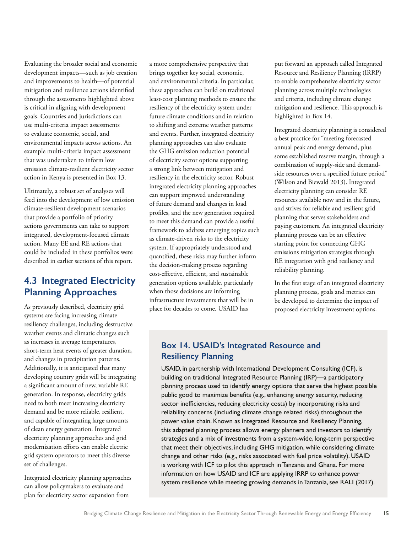<span id="page-20-0"></span>Evaluating the broader social and economic development impacts—such as job creation and improvements to health—of potential mitigation and resilience actions identified through the assessments highlighted above is critical in aligning with development goals. Countries and jurisdictions can use multi-criteria impact assessments to evaluate economic, social, and environmental impacts across actions. An example multi-criteria impact assessment that was undertaken to inform low emission climate-resilient electricity sector action in Kenya is presented in Box 13.

Ultimately, a robust set of analyses will feed into the development of low emission climate-resilient development scenarios that provide a portfolio of priority actions governments can take to support integrated, development-focused climate action. Many EE and RE actions that could be included in these portfolios were described in earlier sections of this report.

### **4.3 Integrated Electricity Planning Approaches**

As previously described, electricity grid systems are facing increasing climate resiliency challenges, including destructive weather events and climatic changes such as increases in average temperatures, short-term heat events of greater duration, and changes in precipitation patterns. Additionally, it is anticipated that many developing country grids will be integrating a significant amount of new, variable RE generation. In response, electricity grids need to both meet increasing electricity demand and be more reliable, resilient, and capable of integrating large amounts of clean energy generation. Integrated electricity planning approaches and grid modernization efforts can enable electric grid system operators to meet this diverse set of challenges.

Integrated electricity planning approaches can allow policymakers to evaluate and plan for electricity sector expansion from

a more comprehensive perspective that brings together key social, economic, and environmental criteria. In particular, these approaches can build on traditional least-cost planning methods to ensure the resiliency of the electricity system under future climate conditions and in relation to shifting and extreme weather patterns and events. Further, integrated electricity planning approaches can also evaluate the GHG emission reduction potential of electricity sector options supporting a strong link between mitigation and resiliency in the electricity sector. Robust integrated electricity planning approaches can support improved understanding of future demand and changes in load profiles, and the new generation required to meet this demand can provide a useful framework to address emerging topics such as climate-driven risks to the electricity system. If appropriately understood and quantified, these risks may further inform the decision-making process regarding cost-effective, efficient, and sustainable generation options available, particularly when those decisions are informing infrastructure investments that will be in place for decades to come. USAID has

put forward an approach called Integrated Resource and Resiliency Planning (IRRP) to enable comprehensive electricity sector planning across multiple technologies and criteria, including climate change mitigation and resilience. This approach is highlighted in Box 14.

Integrated electricity planning is considered a best practice for "meeting forecasted annual peak and energy demand, plus some established reserve margin, through a combination of supply-side and demandside resources over a specified future period" (Wilson and Biewald 2013). Integrated electricity planning can consider RE resources available now and in the future, and strives for reliable and resilient grid planning that serves stakeholders and paying customers. An integrated electricity planning process can be an effective starting point for connecting GHG emissions mitigation strategies through RE integration with grid resiliency and reliability planning.

In the first stage of an integrated electricity planning process, goals and metrics can be developed to determine the impact of proposed electricity investment options.

### **Box 14. USAID's Integrated Resource and Resiliency Planning**

USAID, in partnership with International Development Consulting (ICF), is building on traditional Integrated Resource Planning (IRP)—a participatory planning process used to identify energy options that serve the highest possible public good to maximize benefits (e.g., enhancing energy security, reducing sector inefficiencies, reducing electricity costs) by incorporating risks and reliability concerns (including climate change related risks) throughout the power value chain. Known as Integrated Resource and Resiliency Planning, this adapted planning process allows energy planners and investors to identify strategies and a mix of investments from a system-wide, long-term perspective that meet their objectives, including GHG mitigation, while considering climate change and other risks (e.g., risks associated with fuel price volatility). USAID is working with ICF to pilot this approach in Tanzania and Ghana. For more information on how USAID and ICF are applying IRRP to enhance power system resilience while meeting growing demands in Tanzania, see RALI (2017).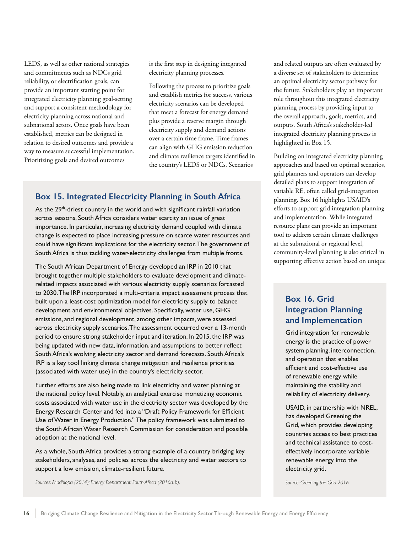<span id="page-21-0"></span>LEDS, as well as other national strategies and commitments such as NDCs grid reliability, or electrification goals, can provide an important starting point for integrated electricity planning goal-setting and support a consistent methodology for electricity planning across national and subnational actors. Once goals have been established, metrics can be designed in relation to desired outcomes and provide a way to measure successful implementation. Prioritizing goals and desired outcomes

is the first step in designing integrated electricity planning processes.

Following the process to prioritize goals and establish metrics for success, various electricity scenarios can be developed that meet a forecast for energy demand plus provide a reserve margin through electricity supply and demand actions over a certain time frame. Time frames can align with GHG emission reduction and climate resilience targets identified in the country's LEDS or NDCs. Scenarios

#### **Box 15. Integrated Electricity Planning in South Africa**

As the  $29<sup>th</sup>$ -driest country in the world and with significant rainfall variation across seasons, South Africa considers water scarcity an issue of great importance. In particular, increasing electricity demand coupled with climate change is expected to place increasing pressure on scarce water resources and could have significant implications for the electricity sector. The government of South Africa is thus tackling water-electricity challenges from multiple fronts.

The South African Department of Energy developed an IRP in 2010 that brought together multiple stakeholders to evaluate development and climaterelated impacts associated with various electricity supply scenarios forcasted to 2030. The IRP incorporated a multi-criteria impact assessment process that built upon a least-cost optimization model for electricity supply to balance development and environmental objectives. Specifically, water use, GHG emissions, and regional development, among other impacts, were assessed across electricity supply scenarios. The assessment occurred over a 13-month period to ensure strong stakeholder input and iteration. In 2015, the IRP was being updated with new data, information, and assumptions to better reflect South Africa's evolving electricity sector and demand forecasts. South Africa's IRP is a key tool linking climate change mitigation and resilience priorities (associated with water use) in the country's electricity sector.

Further efforts are also being made to link electricity and water planning at the national policy level. Notably, an analytical exercise monetizing economic costs associated with water use in the electricity sector was developed by the Energy Research Center and fed into a "Draft Policy Framework for Efficient Use of Water in Energy Production." The policy framework was submitted to the South African Water Research Commission for consideration and possible adoption at the national level.

As a whole, South Africa provides a strong example of a country bridging key stakeholders, analyses, and policies across the electricity and water sectors to support a low emission, climate-resilient future.

*Sources: Madhlopa (2014); Energy Department: South Africa (2016a, b).*

and related outputs are often evaluated by a diverse set of stakeholders to determine an optimal electricity sector pathway for the future. Stakeholders play an important role throughout this integrated electricity planning process by providing input to the overall approach, goals, metrics, and outputs. South Africa's stakeholder-led integrated electricity planning process is highlighted in Box 15.

Building on integrated electricity planning approaches and based on optimal scenarios, grid planners and operators can develop detailed plans to support integration of variable RE, often called grid-integration planning. Box 16 highlights USAID's efforts to support grid integration planning and implementation. While integrated resource plans can provide an important tool to address certain climate challenges at the subnational or regional level, community-level planning is also critical in supporting effective action based on unique

### **Box 16. Grid Integration Planning and Implementation**

Grid integration for renewable energy is the practice of power system planning, interconnection, and operation that enables efficient and cost-effective use of renewable energy while maintaining the stability and reliability of electricity delivery.

USAID, in partnership with NREL, has developed Greening the Grid, which provides developing countries access to best practices and technical assistance to costeffectively incorporate variable renewable energy into the electricity grid.

*Source: Greening the Grid 2016.*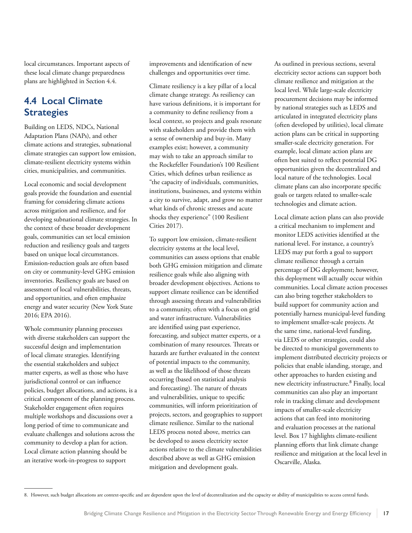<span id="page-22-0"></span>local circumstances. Important aspects of these local climate change preparedness plans are highlighted in Section 4.4.

### **4.4 Local Climate Strategies**

Building on LEDS, NDCs, National Adaptation Plans (NAPs), and other climate actions and strategies, subnational climate strategies can support low emission, climate-resilient electricity systems within cities, municipalities, and communities.

Local economic and social development goals provide the foundation and essential framing for considering climate actions across mitigation and resilience, and for developing subnational climate strategies. In the context of these broader development goals, communities can set local emission reduction and resiliency goals and targets based on unique local circumstances. Emission-reduction goals are often based on city or community-level GHG emission inventories. Resiliency goals are based on assessment of local vulnerabilities, threats, and opportunities, and often emphasize energy and water security (New York State 2016; EPA 2016).

Whole community planning processes with diverse stakeholders can support the successful design and implementation of local climate strategies. Identifying the essential stakeholders and subject matter experts, as well as those who have jurisdictional control or can influence policies, budget allocations, and actions, is a critical component of the planning process. Stakeholder engagement often requires multiple workshops and discussions over a long period of time to communicate and evaluate challenges and solutions across the community to develop a plan for action. Local climate action planning should be an iterative work-in-progress to support

improvements and identification of new challenges and opportunities over time.

Climate resiliency is a key pillar of a local climate change strategy. As resiliency can have various definitions, it is important for a community to define resiliency from a local context, so projects and goals resonate with stakeholders and provide them with a sense of ownership and buy-in. Many examples exist; however, a community may wish to take an approach similar to the Rockefeller Foundation's 100 Resilient Cities, which defines urban resilience as "the capacity of individuals, communities, institutions, businesses, and systems within a city to survive, adapt, and grow no matter what kinds of chronic stresses and acute shocks they experience" (100 Resilient Cities 2017).

To support low emission, climate-resilient electricity systems at the local level, communities can assess options that enable both GHG emission mitigation and climate resilience goals while also aligning with broader development objectives. Actions to support climate resilience can be identified through assessing threats and vulnerabilities to a community, often with a focus on grid and water infrastructure. Vulnerabilities are identified using past experience, forecasting, and subject matter experts, or a combination of many resources. Threats or hazards are further evaluated in the context of potential impacts to the community, as well as the likelihood of those threats occurring (based on statistical analysis and forecasting). The nature of threats and vulnerabilities, unique to specific communities, will inform prioritization of projects, sectors, and geographies to support climate resilience. Similar to the national LEDS process noted above, metrics can be developed to assess electricity sector actions relative to the climate vulnerabilities described above as well as GHG emission mitigation and development goals.

As outlined in previous sections, several electricity sector actions can support both climate resilience and mitigation at the local level. While large-scale electricity procurement decisions may be informed by national strategies such as LEDS and articulated in integrated electricity plans (often developed by utilities), local climate action plans can be critical in supporting smaller-scale electricity generation. For example, local climate action plans are often best suited to reflect potential DG opportunities given the decentralized and local nature of the technologies. Local climate plans can also incorporate specific goals or targets related to smaller-scale technologies and climate action.

Local climate action plans can also provide a critical mechanism to implement and monitor LEDS activities identified at the national level. For instance, a country's LEDS may put forth a goal to support climate resilience through a certain percentage of DG deployment; however, this deployment will actually occur within communities. Local climate action processes can also bring together stakeholders to build support for community action and potentially harness municipal-level funding to implement smaller-scale projects. At the same time, national-level funding, via LEDS or other strategies, could also be directed to municipal governments to implement distributed electricity projects or policies that enable islanding, storage, and other approaches to harden existing and new electricity infrastructure.<sup>8</sup> Finally, local communities can also play an important role in tracking climate and development impacts of smaller-scale electricity actions that can feed into monitoring and evaluation processes at the national level. Box 17 highlights climate-resilient planning efforts that link climate change resilience and mitigation at the local level in Oscarville, Alaska.

<sup>8.</sup> However, such budget allocations are context-specific and are dependent upon the level of decentralization and the capacity or ability of municipalities to access central funds.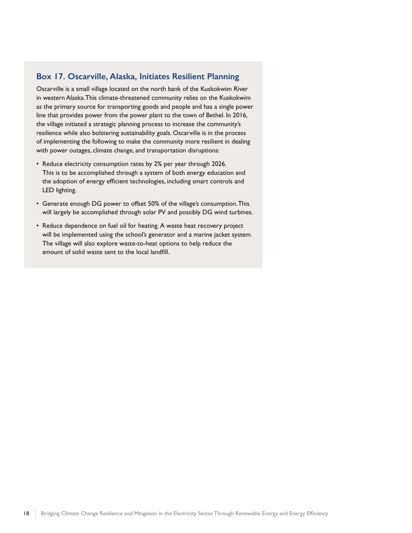#### <span id="page-23-0"></span>**Box 17. Oscarville, Alaska, Initiates Resilient Planning**

Oscarville is a small village located on the north bank of the Kuskokwim River in western Alaska. This climate-threatened community relies on the Kuskokwim as the primary source for transporting goods and people and has a single power line that provides power from the power plant to the town of Bethel. In 2016, the village initiated a strategic planning process to increase the community's resilience while also bolstering sustainability goals. Oscarville is in the process of implementing the following to make the community more resilient in dealing with power outages, climate change, and transportation disruptions:

- Reduce electricity consumption rates by 2% per year through 2026. This is to be accomplished through a system of both energy education and the adoption of energy efficient technologies, including smart controls and LED lighting.
- Generate enough DG power to offset 50% of the village's consumption. This will largely be accomplished through solar PV and possibly DG wind turbines.
- Reduce dependence on fuel oil for heating. A waste heat recovery project will be implemented using the school's generator and a marine jacket system. The village will also explore waste-to-heat options to help reduce the amount of solid waste sent to the local landfill.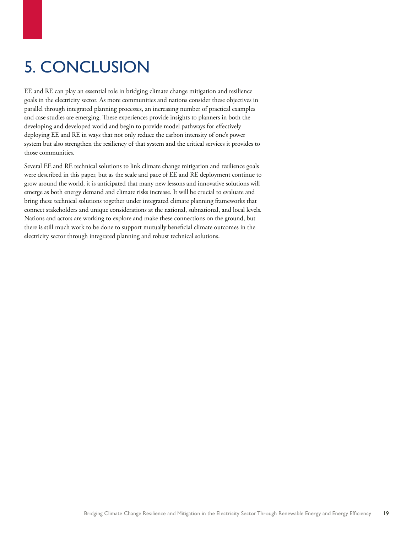# <span id="page-24-0"></span>5. CONCLUSION

EE and RE can play an essential role in bridging climate change mitigation and resilience goals in the electricity sector. As more communities and nations consider these objectives in parallel through integrated planning processes, an increasing number of practical examples and case studies are emerging. These experiences provide insights to planners in both the developing and developed world and begin to provide model pathways for effectively deploying EE and RE in ways that not only reduce the carbon intensity of one's power system but also strengthen the resiliency of that system and the critical services it provides to those communities.

Several EE and RE technical solutions to link climate change mitigation and resilience goals were described in this paper, but as the scale and pace of EE and RE deployment continue to grow around the world, it is anticipated that many new lessons and innovative solutions will emerge as both energy demand and climate risks increase. It will be crucial to evaluate and bring these technical solutions together under integrated climate planning frameworks that connect stakeholders and unique considerations at the national, subnational, and local levels. Nations and actors are working to explore and make these connections on the ground, but there is still much work to be done to support mutually beneficial climate outcomes in the electricity sector through integrated planning and robust technical solutions.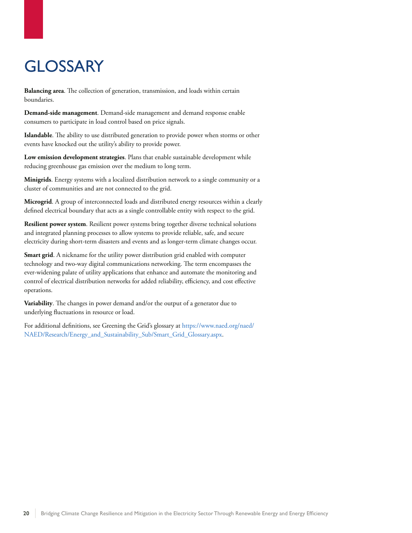# <span id="page-25-0"></span>**GLOSSARY**

**Balancing area**. The collection of generation, transmission, and loads within certain boundaries.

**Demand-side management**. Demand-side management and demand response enable consumers to participate in load control based on price signals.

**Islandable**. The ability to use distributed generation to provide power when storms or other events have knocked out the utility's ability to provide power.

**Low emission development strategies**. Plans that enable sustainable development while reducing greenhouse gas emission over the medium to long term.

**Minigrids**. Energy systems with a localized distribution network to a single community or a cluster of communities and are not connected to the grid.

**Microgrid**. A group of interconnected loads and distributed energy resources within a clearly defined electrical boundary that acts as a single controllable entity with respect to the grid.

**Resilient power system**. Resilient power systems bring together diverse technical solutions and integrated planning processes to allow systems to provide reliable, safe, and secure electricity during short-term disasters and events and as longer-term climate changes occur.

**Smart grid**. A nickname for the utility power distribution grid enabled with computer technology and two-way digital communications networking. The term encompasses the ever-widening palate of utility applications that enhance and automate the monitoring and control of electrical distribution networks for added reliability, efficiency, and cost effective operations.

**Variability**. The changes in power demand and/or the output of a generator due to underlying fluctuations in resource or load.

For additional definitions, see Greening the Grid's glossary at https://www.naed.org/naed/ NAED/Research/Energy\_and\_Sustainability\_Sub/Smart\_Grid\_Glossary.aspx.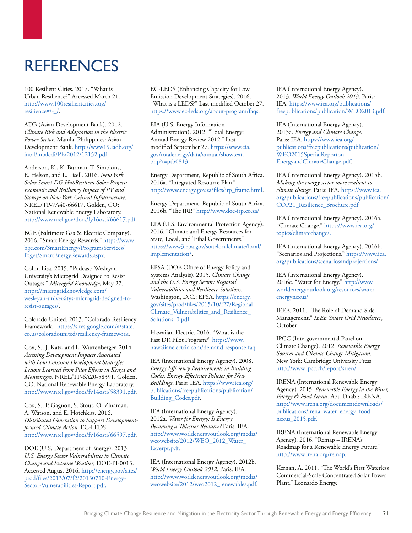# <span id="page-26-0"></span>**REFERENCES**

100 Resilient Cities. 2017. "What is Urban Resilience?" Accessed March 21. [http://www.100resilientcities.org/](http://www.100resilientcities.org/resilience#/-_/) [resilience#/-\\_/](http://www.100resilientcities.org/resilience#/-_/).

ADB (Asian Development Bank). 2012. *Climate Risk and Adaptation in the Electric Power Sector*. Manila, Philippines: Asian Development Bank. [http://www19.iadb.org/](http://www19.iadb.org/intal/intalcdi/PE/2012/12152.pdf) [intal/intalcdi/PE/2012/12152.pdf](http://www19.iadb.org/intal/intalcdi/PE/2012/12152.pdf).

Anderson, K., K. Burman, T. Simpkins, E. Helson, and L. Lisell. 2016. *New York Solar Smart DG HubResilient Solar Project: Economic and Resiliency Impact of PV and Storage on New York Critical Infrastructure*. NREL/TP-7A40-66617. Golden, CO: National Renewable Energy Laboratory. http://www.nrel.gov/docs/fy16osti/66617.pdf.

BGE (Baltimore Gas & Electric Company). 2016. "Smart Energy Rewards." [https://www.](https://www.bge.com/SmartEnergy/ProgramsServices/Pages/SmartEnergyRewards.aspx) [bge.com/SmartEnergy/ProgramsServices/](https://www.bge.com/SmartEnergy/ProgramsServices/Pages/SmartEnergyRewards.aspx) [Pages/SmartEnergyRewards.aspx](https://www.bge.com/SmartEnergy/ProgramsServices/Pages/SmartEnergyRewards.aspx).

Cohn, Lisa. 2015. "Podcast: Wesleyan University's Microgrid Designed to Resist Outages." *Microgrid Knowledge*, May 27. [https://microgridknowledge.com/](https://microgridknowledge.com/wesleyan-universitys-microgrid-designed-to-resist-outages/) [wesleyan-universitys-microgrid-designed-to](https://microgridknowledge.com/wesleyan-universitys-microgrid-designed-to-resist-outages/)[resist-outages/](https://microgridknowledge.com/wesleyan-universitys-microgrid-designed-to-resist-outages/).

Colorado United. 2013. "Colorado Resiliency Framework." [https://sites.google.com/a/state.](https://sites.google.com/a/state.co.us/coloradounited/resiliency-framework) [co.us/coloradounited/resiliency-framework.](https://sites.google.com/a/state.co.us/coloradounited/resiliency-framework)

Cox, S., J. Katz, and L. Wurtenberger. 2014. *Assessing Development Impacts Associated with Low Emission Development Strategies: Lessons Learned from Pilot Efforts in Kenya and Montenegro.* NREL/TP-6A20-58391. Golden, CO: National Renewable Energy Laboratory. http://www.nrel.gov/docs/fy14osti/58391.pdf.

Cox, S., P. Gagnon, S. Stout, O. Zinaman, A. Watson, and E. Hotchkiss. 2016. *Distributed Generation to Support Developmentfocused Climate Action.* EC-LEDS. http://www.nrel.gov/docs/fy16osti/66597.pdf.

DOE (U.S. Department of Energy). 2013. *U.S. Energy Sector Vulnerabilities to Climate Change and Extreme Weather*, DOE-PI-0013. Accessed August 2016. [http://energy.gov/sites/](http://energy.gov/sites/prod/files/2013/07/f2/20130710-Energy-Sector-Vulnerabilities-Report.pdf) [prod/files/2013/07/f2/20130710-Energy-](http://energy.gov/sites/prod/files/2013/07/f2/20130710-Energy-Sector-Vulnerabilities-Report.pdf)[Sector-Vulnerabilities-Report.pdf.](http://energy.gov/sites/prod/files/2013/07/f2/20130710-Energy-Sector-Vulnerabilities-Report.pdf)

EC-LEDS (Enhancing Capacity for Low Emission Development Strategies). 2016. "What is a LEDS?" Last modified October 27. https://www.ec-leds.org/about-program/faqs.

EIA (U.S. Energy Information Administration). 2012. "Total Energy: Annual Energy Review 2012." Last modified September 27. [https://www.eia.](https://www.eia.gov/totalenergy/data/annual/showtext.php?t=ptb0813) [gov/totalenergy/data/annual/showtext.](https://www.eia.gov/totalenergy/data/annual/showtext.php?t=ptb0813) [php?t=ptb0813.](https://www.eia.gov/totalenergy/data/annual/showtext.php?t=ptb0813)

Energy Department, Republic of South Africa. 2016a. "Integrated Resource Plan." http://www.energy.gov.za/files/irp\_frame.html.

Energy Department, Republic of South Africa. 2016b. "The IRP." http://www.doe-irp.co.za/.

EPA (U.S. Environmental Protection Agency). 2016. "Climate and Energy Resources for State, Local, and Tribal Governments." [https://www3.epa.gov/statelocalclimate/local/](https://www3.epa.gov/statelocalclimate/local/implementation/) [implementation/.](https://www3.epa.gov/statelocalclimate/local/implementation/)

EPSA (DOE Office of Energy Policy and Systems Analysis). 2015. *Climate Change and the U.S. Energy Sector: Regional Vulnerabilities and Resilience Solutions*. Washington, D.C.: EPSA. [https://energy.](https://energy.gov/sites/prod/files/2015/10/f27/Regional_Climate_Vulnerabilities_and_Resilience_Solutions_0.pdf) [gov/sites/prod/files/2015/10/f27/Regional\\_](https://energy.gov/sites/prod/files/2015/10/f27/Regional_Climate_Vulnerabilities_and_Resilience_Solutions_0.pdf) [Climate\\_Vulnerabilities\\_and\\_Resilience\\_](https://energy.gov/sites/prod/files/2015/10/f27/Regional_Climate_Vulnerabilities_and_Resilience_Solutions_0.pdf) Solutions 0.pdf.

Hawaiian Electric. 2016. "What is the Fast DR Pilot Program?" [https://www.](https://www.hawaiianelectric.com/demand-response-faq) [hawaiianelectric.com/demand-response-faq.](https://www.hawaiianelectric.com/demand-response-faq)

IEA (International Energy Agency). 2008. *Energy Efficiency Requirements in Building Codes, Energy Efficiency Policies for New Buildings*. Paris: IEA. [https://www.iea.org/](https://www.iea.org/publications/freepublications/publication/Building_Codes.pdf) [publications/freepublications/publication/](https://www.iea.org/publications/freepublications/publication/Building_Codes.pdf) [Building\\_Codes.pdf.](https://www.iea.org/publications/freepublications/publication/Building_Codes.pdf)

IEA (International Energy Agency). 2012a. *Water for Energy: Is Energy Becoming a Thirstier Resource?* Paris: IEA. [http://www.worldenergyoutlook.org/media/](http://www.worldenergyoutlook.org/media/weowebsite/2012/WEO_2012_Water_Excerpt.pdf) [weowebsite/2012/WEO\\_2012\\_Water\\_](http://www.worldenergyoutlook.org/media/weowebsite/2012/WEO_2012_Water_Excerpt.pdf) [Excerpt.pdf](http://www.worldenergyoutlook.org/media/weowebsite/2012/WEO_2012_Water_Excerpt.pdf).

IEA (International Energy Agency). 2012b. *World Energy Outlook 2012*. Paris: IEA. [http://www.worldenergyoutlook.org/media/](http://www.worldenergyoutlook.org/media/weowebsite/2012/weo2012_renewables.pdf) [weowebsite/2012/weo2012\\_renewables.pdf.](http://www.worldenergyoutlook.org/media/weowebsite/2012/weo2012_renewables.pdf)

IEA (International Energy Agency). 2013. *World Energy Outlook 2013*. Paris: IEA. [https://www.iea.org/publications/](https://www.iea.org/publications/freepublications/publication/WEO2013.pdf) [freepublications/publication/WEO2013.pdf](https://www.iea.org/publications/freepublications/publication/WEO2013.pdf).

IEA (International Energy Agency). 2015a. *Energy and Climate Change*. Paris: IEA. [https://www.iea.org/](https://www.iea.org/publications/freepublications/publication/WEO2015SpecialReportonEnergyandClimat) [publications/freepublications/publication/](https://www.iea.org/publications/freepublications/publication/WEO2015SpecialReportonEnergyandClimat) [WEO2015SpecialReporton](https://www.iea.org/publications/freepublications/publication/WEO2015SpecialReportonEnergyandClimat) [EnergyandClimateChange.pdf](https://www.iea.org/publications/freepublications/publication/WEO2015SpecialReportonEnergyandClimat).

IEA (International Energy Agency). 2015b. *Making the energy sector more resilient to climate change*. Paris: IEA. [https://www.iea.](https://www.iea.org/publications/freepublications/publication/COP21_Resilience_Brochure.pdf) [org/publications/freepublications/publication/](https://www.iea.org/publications/freepublications/publication/COP21_Resilience_Brochure.pdf) [COP21\\_Resilience\\_Brochure.pdf.](https://www.iea.org/publications/freepublications/publication/COP21_Resilience_Brochure.pdf)

IEA (International Energy Agency). 2016a. "Climate Change." [https://www.iea.org/](https://www.iea.org/topics/climatechange) [topics/climatechange/](https://www.iea.org/topics/climatechange).

IEA (International Energy Agency). 2016b. "Scenarios and Projections." [https://www.iea.](https://www.iea.org/publications/scenariosandprojections/) [org/publications/scenariosandprojections/](https://www.iea.org/publications/scenariosandprojections/).

IEA (International Energy Agency). 2016c. "Water for Energy." [http://www.](http://www.worldenergyoutlook.org/resources/water-energynexus/) [worldenergyoutlook.org/resources/water](http://www.worldenergyoutlook.org/resources/water-energynexus/)[energynexus/](http://www.worldenergyoutlook.org/resources/water-energynexus/).

IEEE. 2011. "The Role of Demand Side Management." *IEEE Smart Grid Newsletter*, October.

IPCC (Intergovernmental Panel on Climate Change). 2012. *Renewable Energy Sources and Climate Change Mitigation*. New York: Cambridge University Press. http://www.ipcc.ch/report/srren/.

IRENA (International Renewable Energy Agency). 2015. *Renewable Energy in the Water, Energy & Food Nexus*. Abu Dhabi: IRENA. [http://www.irena.org/documentdownloads/](http://www.irena.org/documentdownloads/publications/irena_water_energy_food_nexus_2015.pdf) [publications/irena\\_water\\_energy\\_food\\_](http://www.irena.org/documentdownloads/publications/irena_water_energy_food_nexus_2015.pdf) [nexus\\_2015.pdf](http://www.irena.org/documentdownloads/publications/irena_water_energy_food_nexus_2015.pdf).

IRENA (International Renewable Energy Agency). 2016. "Remap – IRENA's Roadmap for a Renewable Energy Future." http://www.irena.org/remap.

Kernan, A. 2011. "The World's First Waterless Commercial-Scale Concentrated Solar Power Plant." Leonardo Energy.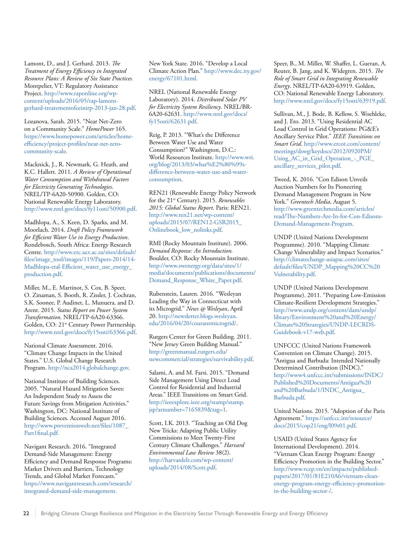Lamont, D., and J. Gerhard. 2013. *The Treatment of Energy Efficiency in Integrated Resource Plans: A Review of Six State Practices.*  Montpelier, VT: Regulatory Assistance Project. http://www.raponline.org/wpcontent/uploads/2016/05/rap-lamontgerhard-treatementofeeinirp-2013-jan-28.pdf.

Lozanova, Sarah. 2015. "Near Net-Zero on a Community Scale." *HomePower* 165. https://www.homepower.com/articles/homeefficiency/project-profiles/near-net-zerocommunity-scale.

Macknick, J., R. Newmark, G. Heath, and K.C. Hallett. 2011. *A Review of Operational Water Consumption and Withdrawal Factors for Electricity Generating Technologies*. NREL/TP-6A20-50900. Golden, CO: National Renewable Energy Laboratory. http://www.nrel.gov/docs/fy11osti/50900.pdf.

Madhlopa, A., S. Keen, D. Sparks, and M. Moorlach. 2014. *Draft Policy Framework for Efficient Water Use in Energy Production*. Rondebosch, South Africa: Energy Research Centre. http://www.erc.uct.ac.za/sites/default/ files/image\_tool/images/119/Papers-2014/14- Madhlopa-etal-Efficient\_water\_use\_energy\_ production.pdf.

Miller, M., E. Martinot, S. Cox, B. Speer, O. Zinaman, S. Booth, R. Zissler, J. Cochran, S.K. Soonee, P. Audinet, L. Munuera, and D. Arent. 2015. *Status Report on Power System Transformation*. NREL/TP-6A20-63366. Golden, CO: 21<sup>st</sup> Century Power Partnership. http://www.nrel.gov/docs/fy15osti/63366.pdf.

National Climate Assessment. 2016. "Climate Change Impacts in the United States." U.S. Global Change Research Program. http://nca2014.globalchange.gov.

National Institute of Building Sciences. 2005. "Natural Hazard Mitigation Saves: An Independent Study to Assess the Future Savings from Mitigation Activities." Washington, DC: National Institute of Building Sciences. Accessed August 2016. http://www.preventionweb.net/files/1087\_ Part1final.pdf.

Navigant Research. 2016. "Integrated Demand-Side Management: Energy Efficiency and Demand Response Programs: Market Drivers and Barriers, Technology Trends, and Global Market Forecasts." https://www.navigantresearch.com/research/ integrated-demand-side-management.

New York State. 2016. "Develop a Local Climate Action Plan." http://www.dec.ny.gov/ energy/67101.html.

NREL (National Renewable Energy Laboratory). 2014. *Distributed Solar PV for Electricity System Resiliency*. NREL/BR-6A20-62631. http://www.nrel.gov/docs/ fy15osti/62631.pdf.

Reig, P. 2013. "What's the Difference Between Water Use and Water Consumption?" Washington, D.C.: World Resources Institute. http://www.wri. org/blog/2013/03/what%E2%80%99sdifference-between-water-use-and-waterconsumption.

REN21 (Renewable Energy Policy Network for the 21st Century). 2015. *Renewables 2015: Global Status Report*. Paris: REN21. http://www.ren21.net/wp-content/ uploads/2015/07/REN12-GSR2015\_ Onlinebook\_low\_nolinks.pdf.

RMI (Rocky Mountain Institute). 2006. *Demand Response: An Introduction.* Boulder, CO: Rocky Mountain Institute. http://www.swenergy.org/data/sites/1/ media/documents/publications/documents/ Demand\_Response\_White\_Paper.pdf.

Rubenstein, Lauren. 2016. "Wesleyan Leading the Way in Connecticut with its Microgrid." *News @ Wesleyan*, April 20. http://newsletter.blogs.wesleyan. edu/2016/04/20/courantmicrogrid/.

Rutgers Center for Green Building. 2011. "New Jersey Green Building Manual." http://greenmanual.rutgers.edu/ newcommercial/strategies/survivability.pdf.

Salami, A. and M. Farsi. 2015. "Demand Side Management Using Direct Load Control for Residential and Industrial Areas." IEEE Transitions on Smart Grid. http://ieeexplore.ieee.org/stamp/stamp. jsp?arnumber=7165839&tag=1.

Scott, I.K. 2013. "Teaching an Old Dog New Tricks: Adapting Public Utility Commissions to Meet Twenty-First Century Climate Challenges." *Harvard Environmental Law Review* 38(2). [http://harvardelr.com/wp-content/](http://harvardelr.com/wp-content/uploads/2014/08/Scott.pdf) [uploads/2014/08/Scott.pdf](http://harvardelr.com/wp-content/uploads/2014/08/Scott.pdf).

Speer, B., M. Miller, W. Shaffer, L. Gueran, A. Reuter, B. Jang, and K. Widegren. 2015. *The Role of Smart Grid in Integrating Renewable Energy*. NREL/TP-6A20-63919. Golden, CO: National Renewable Energy Laboratory. http://www.nrel.gov/docs/fy15osti/63919.pdf.

Sullivan, M., J. Bode, B. Kellow, S. Woehleke, and J. Eto. 2013. "Using Residential AC Load Control in Grid Operations: PG&E's Ancillary Service Pilot." *IEEE Transitions on Smart Grid*. http://www.ercot.com/content/ meetings/dswg/keydocs/2012/0920PM/ Using\_AC\_in\_Grid\_Operation\_-\_PGE\_ ancillary\_services\_pilot.pdf.

Tweed, K. 2016. "Con Edison Unveils Auction Numbers for Its Pioneering Demand Management Program in New York." *Greentech Media*, August 5. http://www.greentechmedia.com/articles/ read/The-Numbers-Are-In-for-Con-Edisons-Demand-Management-Program.

UNDP (United Nations Development Programme). 2010. "Mapping Climate Change Vulnerability and Impact Scenarios." http://climatechange-asiapac.com/sites/ default/files/UNDP\_Mapping%20CC%20 Vulnerability.pdf.

UNDP (United Nations Development Programme). 2011. "Preparing Low-Emission Climate-Resilient Development Strategies." http://www.undp.org/content/dam/undp/ library/Environment%20and%20Energy/ Climate%20Strategies/UNDP-LECRDS-Guidebook-v17-web.pdf.

UNFCCC (United Nations Framework Convention on Climate Change). 2015. "Antigua and Barbuda: Intended Nationally Determined Contribution (INDC)." http://www4.unfccc.int/submissions/INDC/ Published%20Documents/Antigua%20 and%20Barbuda/1/INDC\_Antigua\_ Barbuda.pdf.

United Nations. 2015. "Adoption of the Paris Agreement." https://unfccc.int/resource/ docs/2015/cop21/eng/l09r01.pdf.

USAID (United States Agency for International Development). 2014. "Vietnam Clean Energy Program: Energy Efficiency Promotion in the Building Sector." [http://www.vcep.vn/en/impacts/published](http://www.vcep.vn/en/impacts/published-papers/2017/01/81E210A6/vietnam-clean-energy-program-energy-)[papers/2017/01/81E210A6/vietnam-clean](http://www.vcep.vn/en/impacts/published-papers/2017/01/81E210A6/vietnam-clean-energy-program-energy-)[energy-program-energy-efficiency-promotion](http://www.vcep.vn/en/impacts/published-papers/2017/01/81E210A6/vietnam-clean-energy-program-energy-)[in-the-building-sector-/](http://www.vcep.vn/en/impacts/published-papers/2017/01/81E210A6/vietnam-clean-energy-program-energy-).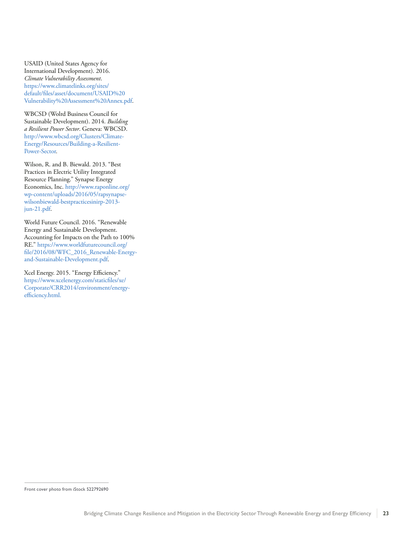USAID (United States Agency for International Development). 2016. *Climate Vulnerability Assessment*. https://www.climatelinks.org/sites/ default/files/asset/document/USAID%20 Vulnerability%20Assessment%20Annex.pdf.

WBCSD (Wolrd Business Council for Sustainable Development). 2014. *Building a Resilient Power Sector*. Geneva: WBCSD. http://www.wbcsd.org/Clusters/Climate-Energy/Resources/Building-a-Resilient-Power-Sector.

Wilson, R. and B. Biewald. 2013. "Best Practices in Electric Utility Integrated Resource Planning." Synapse Energy Economics, Inc. http://www.raponline.org/ wp-content/uploads/2016/05/rapsynapsewilsonbiewald-bestpracticesinirp-2013 jun-21.pdf.

World Future Council. 2016. "Renewable Energy and Sustainable Development. Accounting for Impacts on the Path to 100% RE." https://www.worldfuturecouncil.org/ file/2016/08/WFC\_2016\_Renewable-Energyand-Sustainable-Development.pdf.

Xcel Energy. 2015. "Energy Efficiency." [https://www.xcelenergy.com/staticfiles/xe/](https://www.xcelenergy.com/staticfiles/xe/Corporate/CRR2014/environment/energy-efficiency.html) [Corporate/CRR2014/environment/energy](https://www.xcelenergy.com/staticfiles/xe/Corporate/CRR2014/environment/energy-efficiency.html)[efficiency.html.](https://www.xcelenergy.com/staticfiles/xe/Corporate/CRR2014/environment/energy-efficiency.html)

Front cover photo from iStock 522792690